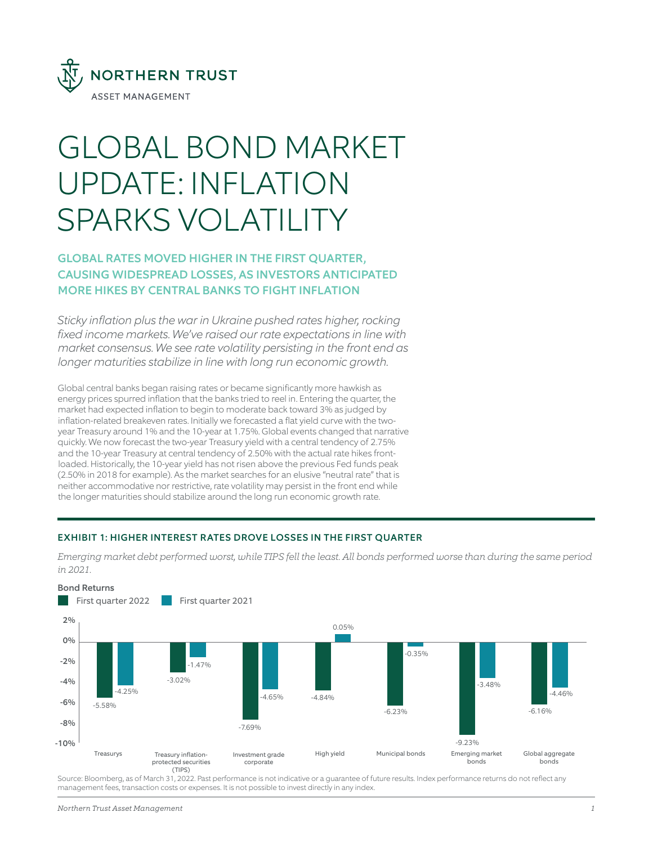

# GLOBAL BOND MARKET UPDATE: INFLATION SPARKS VOLATILITY

## GLOBAL RATES MOVED HIGHER IN THE FIRST QUARTER, CAUSING WIDESPREAD LOSSES, AS INVESTORS ANTICIPATED MORE HIKES BY CENTRAL BANKS TO FIGHT INFLATION

*Sticky inflation plus the war in Ukraine pushed rates higher, rocking fixed income markets. We've raised our rate expectations in line with market consensus. We see rate volatility persisting in the front end as longer maturities stabilize in line with long run economic growth.*

Global central banks began raising rates or became significantly more hawkish as energy prices spurred inflation that the banks tried to reel in. Entering the quarter, the market had expected inflation to begin to moderate back toward 3% as judged by inflation-related breakeven rates. Initially we forecasted a flat yield curve with the twoyear Treasury around 1% and the 10-year at 1.75%. Global events changed that narrative quickly. We now forecast the two-year Treasury yield with a central tendency of 2.75% and the 10-year Treasury at central tendency of 2.50% with the actual rate hikes frontloaded. Historically, the 10-year yield has not risen above the previous Fed funds peak (2.50% in 2018 for example). As the market searches for an elusive "neutral rate" that is neither accommodative nor restrictive, rate volatility may persist in the front end while the longer maturities should stabilize around the long run economic growth rate.

## EXHIBIT 1: HIGHER INTEREST RATES DROVE LOSSES IN THE FIRST QUARTER

*Emerging market debt performed worst, while TIPS fell the least. All bonds performed worse than during the same period in 2021.*



Source: Bloomberg, as of March 31, 2022. Past performance is not indicative or a guarantee of future results. Index performance returns do not reflect any management fees, transaction costs or expenses. It is not possible to invest directly in any index.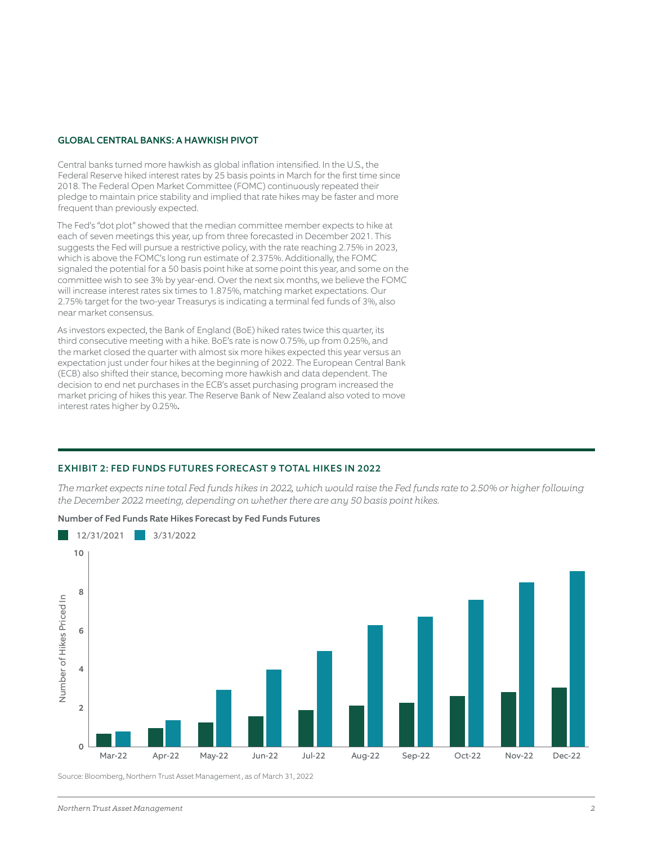#### GLOBAL CENTRAL BANKS: A HAWKISH PIVOT

Central banks turned more hawkish as global inflation intensified. In the U.S., the Federal Reserve hiked interest rates by 25 basis points in March for the first time since 2018. The Federal Open Market Committee (FOMC) continuously repeated their pledge to maintain price stability and implied that rate hikes may be faster and more frequent than previously expected.

The Fed's "dot plot" showed that the median committee member expects to hike at each of seven meetings this year, up from three forecasted in December 2021. This suggests the Fed will pursue a restrictive policy, with the rate reaching 2.75% in 2023, which is above the FOMC's long run estimate of 2.375%. Additionally, the FOMC signaled the potential for a 50 basis point hike at some point this year, and some on the committee wish to see 3% by year-end. Over the next six months, we believe the FOMC will increase interest rates six times to 1.875%, matching market expectations. Our 2.75% target for the two-year Treasurys is indicating a terminal fed funds of 3%, also near market consensus.

As investors expected, the Bank of England (BoE) hiked rates twice this quarter, its third consecutive meeting with a hike. BoE's rate is now 0.75%, up from 0.25%, and the market closed the quarter with almost six more hikes expected this year versus an expectation just under four hikes at the beginning of 2022. The European Central Bank (ECB) also shifted their stance, becoming more hawkish and data dependent. The decision to end net purchases in the ECB's asset purchasing program increased the market pricing of hikes this year. The Reserve Bank of New Zealand also voted to move interest rates higher by 0.25%.

#### EXHIBIT 2: FED FUNDS FUTURES FORECAST 9 TOTAL HIKES IN 2022

*The market expects nine total Fed funds hikes in 2022, which would raise the Fed funds rate to 2.50% or higher following the December 2022 meeting, depending on whether there are any 50 basis point hikes.*



### Number of Fed Funds Rate Hikes Forecast by Fed Funds Futures

Source: Bloomberg, Northern Trust Asset Management , as of March 31, 2022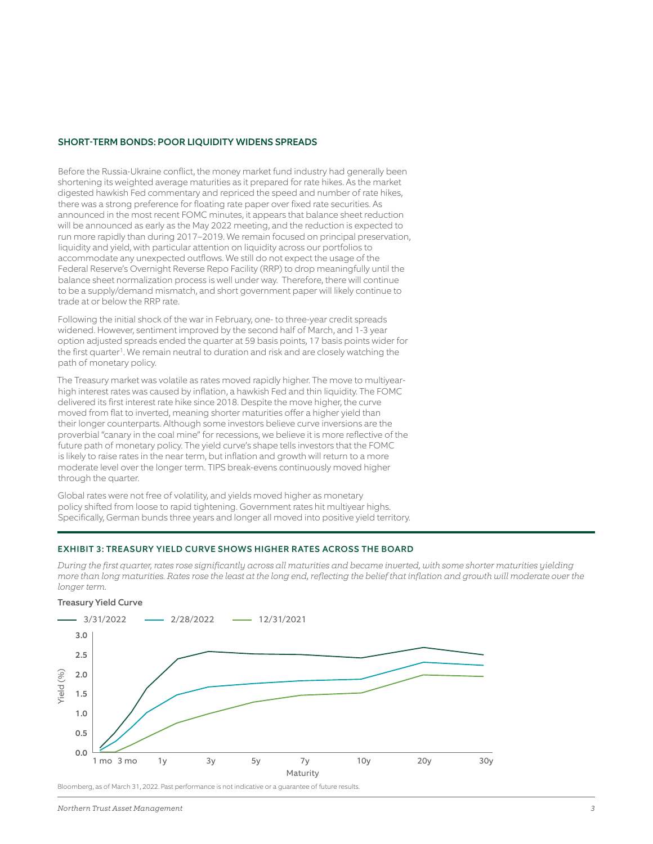#### SHORT-TERM BONDS: POOR LIQUIDITY WIDENS SPREADS

Before the Russia-Ukraine conflict, the money market fund industry had generally been shortening its weighted average maturities as it prepared for rate hikes. As the market digested hawkish Fed commentary and repriced the speed and number of rate hikes, there was a strong preference for floating rate paper over fixed rate securities. As announced in the most recent FOMC minutes, it appears that balance sheet reduction will be announced as early as the May 2022 meeting, and the reduction is expected to run more rapidly than during 2017–2019. We remain focused on principal preservation, liquidity and yield, with particular attention on liquidity across our portfolios to accommodate any unexpected outflows. We still do not expect the usage of the Federal Reserve's Overnight Reverse Repo Facility (RRP) to drop meaningfully until the balance sheet normalization process is well under way. Therefore, there will continue to be a supply/demand mismatch, and short government paper will likely continue to trade at or below the RRP rate.

Following the initial shock of the war in February, one- to three-year credit spreads widened. However, sentiment improved by the second half of March, and 1-3 year option adjusted spreads ended the quarter at 59 basis points, 17 basis points wider for the first quarter<sup>1</sup>. We remain neutral to duration and risk and are closely watching the path of monetary policy.

The Treasury market was volatile as rates moved rapidly higher. The move to multiyearhigh interest rates was caused by inflation, a hawkish Fed and thin liquidity. The FOMC delivered its first interest rate hike since 2018. Despite the move higher, the curve moved from flat to inverted, meaning shorter maturities offer a higher yield than their longer counterparts. Although some investors believe curve inversions are the proverbial "canary in the coal mine" for recessions, we believe it is more reflective of the future path of monetary policy. The yield curve's shape tells investors that the FOMC is likely to raise rates in the near term, but inflation and growth will return to a more moderate level over the longer term. TIPS break-evens continuously moved higher through the quarter.

Global rates were not free of volatility, and yields moved higher as monetary policy shifted from loose to rapid tightening. Government rates hit multiyear highs. Specifically, German bunds three years and longer all moved into positive yield territory.

#### EXHIBIT 3: TREASURY YIELD CURVE SHOWS HIGHER RATES ACROSS THE BOARD

*During the first quarter, rates rose significantly across all maturities and became inverted, with some shorter maturities yielding more than long maturities. Rates rose the least at the long end, reflecting the belief that inflation and growth will moderate over the longer term.*



#### Bloomberg, as of March 31, 2022. Past performance is not indicative or a guarantee of future results.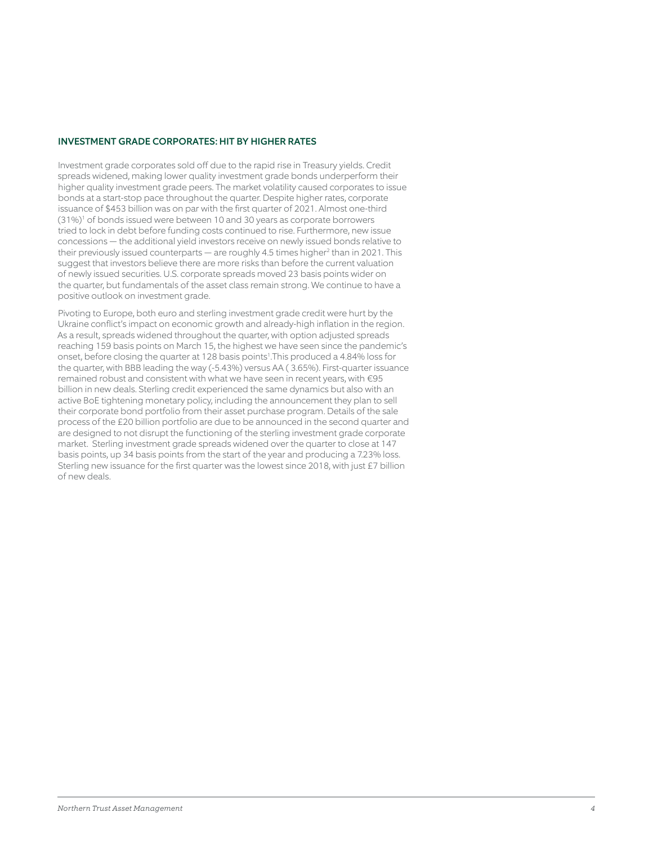#### INVESTMENT GRADE CORPORATES: HIT BY HIGHER RATES

Investment grade corporates sold off due to the rapid rise in Treasury yields. Credit spreads widened, making lower quality investment grade bonds underperform their higher quality investment grade peers. The market volatility caused corporates to issue bonds at a start-stop pace throughout the quarter. Despite higher rates, corporate issuance of \$453 billion was on par with the first quarter of 2021. Almost one-third (31%)<sup>1</sup> of bonds issued were between 10 and 30 years as corporate borrowers tried to lock in debt before funding costs continued to rise. Furthermore, new issue concessions — the additional yield investors receive on newly issued bonds relative to their previously issued counterparts — are roughly 4.5 times higher<sup>2</sup> than in 2021. This suggest that investors believe there are more risks than before the current valuation of newly issued securities. U.S. corporate spreads moved 23 basis points wider on the quarter, but fundamentals of the asset class remain strong. We continue to have a positive outlook on investment grade.

Pivoting to Europe, both euro and sterling investment grade credit were hurt by the Ukraine conflict's impact on economic growth and already-high inflation in the region. As a result, spreads widened throughout the quarter, with option adjusted spreads reaching 159 basis points on March 15, the highest we have seen since the pandemic's onset, before closing the quarter at 128 basis points<sup>1</sup>.This produced a 4.84% loss for the quarter, with BBB leading the way (-5.43%) versus AA ( 3.65%). First-quarter issuance remained robust and consistent with what we have seen in recent years, with €95 billion in new deals. Sterling credit experienced the same dynamics but also with an active BoE tightening monetary policy, including the announcement they plan to sell their corporate bond portfolio from their asset purchase program. Details of the sale process of the £20 billion portfolio are due to be announced in the second quarter and are designed to not disrupt the functioning of the sterling investment grade corporate market. Sterling investment grade spreads widened over the quarter to close at 147 basis points, up 34 basis points from the start of the year and producing a 7.23% loss. Sterling new issuance for the first quarter was the lowest since 2018, with just £7 billion of new deals.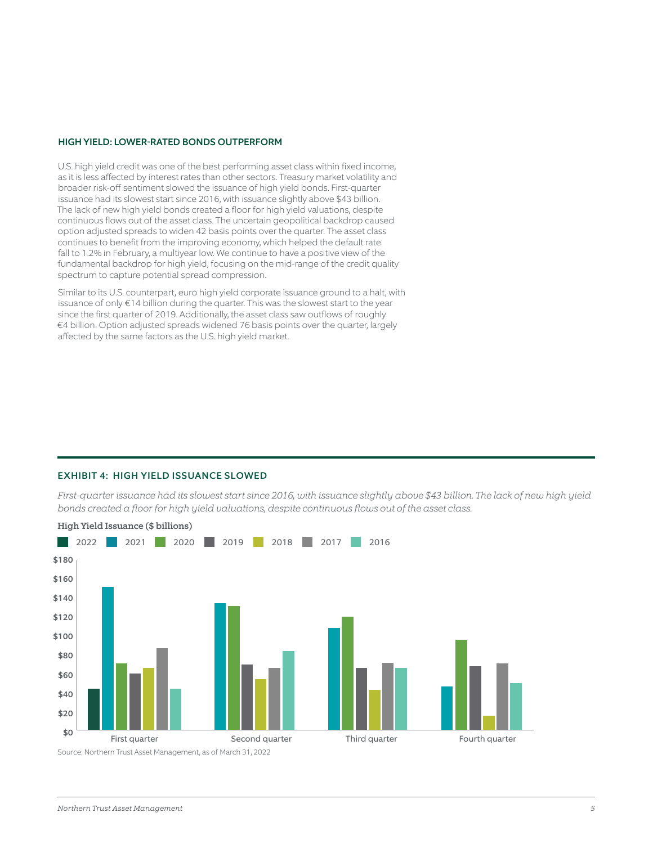#### HIGH YIELD: LOWER-RATED BONDS OUTPERFORM

U.S. high yield credit was one of the best performing asset class within fixed income, as it is less affected by interest rates than other sectors. Treasury market volatility and broader risk-off sentiment slowed the issuance of high yield bonds. First-quarter issuance had its slowest start since 2016, with issuance slightly above \$43 billion. The lack of new high yield bonds created a floor for high yield valuations, despite continuous flows out of the asset class. The uncertain geopolitical backdrop caused option adjusted spreads to widen 42 basis points over the quarter. The asset class continues to benefit from the improving economy, which helped the default rate fall to 1.2% in February, a multiyear low. We continue to have a positive view of the fundamental backdrop for high yield, focusing on the mid-range of the credit quality spectrum to capture potential spread compression.

Similar to its U.S. counterpart, euro high yield corporate issuance ground to a halt, with issuance of only €14 billion during the quarter. This was the slowest start to the year since the first quarter of 2019. Additionally, the asset class saw outflows of roughly €4 billion. Option adjusted spreads widened 76 basis points over the quarter, largely affected by the same factors as the U.S. high yield market.

#### EXHIBIT 4: HIGH YIELD ISSUANCE SLOWED

*First-quarter issuance had its slowest start since 2016, with issuance slightly above \$43 billion. The lack of new high yield bonds created a floor for high yield valuations, despite continuous flows out of the asset class.*

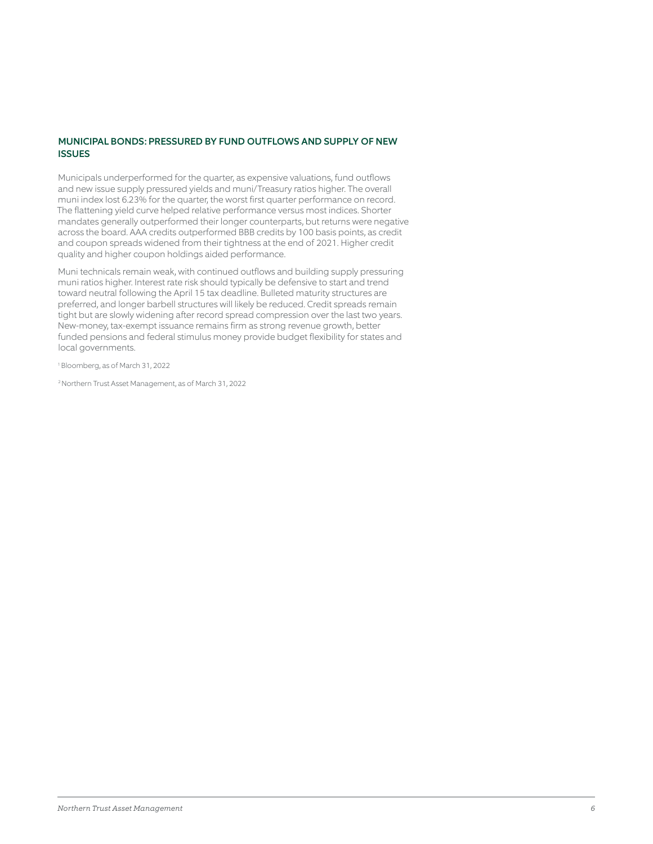## MUNICIPAL BONDS: PRESSURED BY FUND OUTFLOWS AND SUPPLY OF NEW ISSUES

Municipals underperformed for the quarter, as expensive valuations, fund outflows and new issue supply pressured yields and muni/Treasury ratios higher. The overall muni index lost 6.23% for the quarter, the worst first quarter performance on record. The flattening yield curve helped relative performance versus most indices. Shorter mandates generally outperformed their longer counterparts, but returns were negative across the board. AAA credits outperformed BBB credits by 100 basis points, as credit and coupon spreads widened from their tightness at the end of 2021. Higher credit quality and higher coupon holdings aided performance.

Muni technicals remain weak, with continued outflows and building supply pressuring muni ratios higher. Interest rate risk should typically be defensive to start and trend toward neutral following the April 15 tax deadline. Bulleted maturity structures are preferred, and longer barbell structures will likely be reduced. Credit spreads remain tight but are slowly widening after record spread compression over the last two years. New-money, tax-exempt issuance remains firm as strong revenue growth, better funded pensions and federal stimulus money provide budget flexibility for states and local governments.

1 Bloomberg, as of March 31, 2022

2 Northern Trust Asset Management, as of March 31, 2022